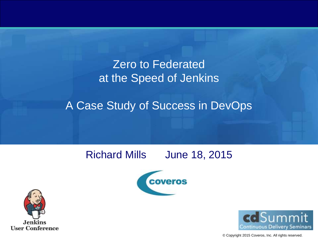#### Zero to Federated at the Speed of Jenkins

#### A Case Study of Success in DevOps

#### Richard Mills June 18, 2015







© Copyright 2015 Coveros, Inc. All rights reserved.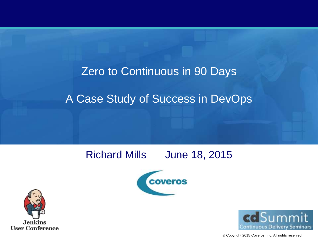## Zero to Continuous in 90 Days A Case Study of Success in DevOps

#### Richard Mills June 18, 2015







© Copyright 2015 Coveros, Inc. All rights reserved.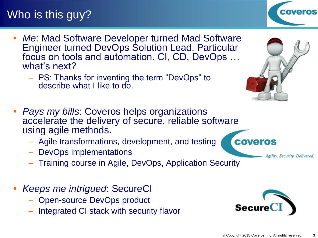#### Who is this guy?

- *Me*: Mad Software Developer turned Mad Software Engineer turned DevOps Solution Lead. Particular focus on tools and automation. CI, CD, DevOps … what's next?
	- PS: Thanks for inventing the term "DevOps" to describe what I like to do.
- *Pays my bills*: Coveros helps organizations accelerate the delivery of secure, reliable software using agile methods.
	- Agile transformations, development, and testing
	- DevOps implementations
	- Training course in Agile, DevOps, Application Security
- *Keeps me intrigued*: SecureCI
	- Open-source DevOps product
	- Integrated CI stack with security flavor









Agility. Security. Delivered.

**COVETOS**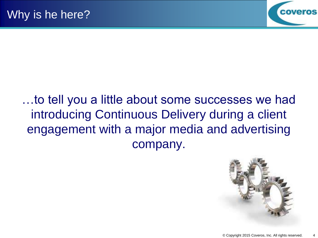

…to tell you a little about some successes we had introducing Continuous Delivery during a client engagement with a major media and advertising company.

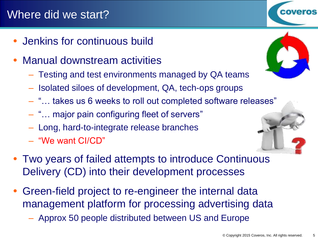#### Where did we start?

- Jenkins for continuous build
- Manual downstream activities
	- Testing and test environments managed by QA teams
	- Isolated siloes of development, QA, tech-ops groups
	- "… takes us 6 weeks to roll out completed software releases"
	- "… major pain configuring fleet of servers"
	- Long, hard-to-integrate release branches
	- "We want CI/CD"
- Two years of failed attempts to introduce Continuous Delivery (CD) into their development processes
- Green-field project to re-engineer the internal data management platform for processing advertising data
	- Approx 50 people distributed between US and Europe





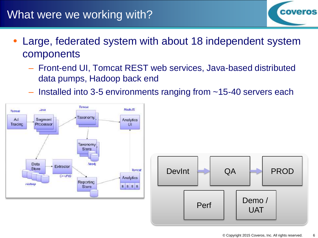#### What were we working with?

- Large, federated system with about 18 independent system components
	- Front-end UI, Tomcat REST web services, Java-based distributed data pumps, Hadoop back end
	- Installed into 3-5 environments ranging from ~15-40 servers each





**coveros**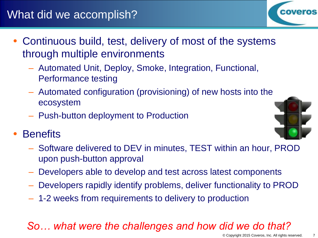#### What did we accomplish?

- Continuous build, test, delivery of most of the systems through multiple environments
	- Automated Unit, Deploy, Smoke, Integration, Functional, Performance testing
	- Automated configuration (provisioning) of new hosts into the ecosystem
	- Push-button deployment to Production
- **Benefits** 
	- Software delivered to DEV in minutes, TEST within an hour, PROD upon push-button approval
	- Developers able to develop and test across latest components
	- Developers rapidly identify problems, deliver functionality to PROD
	- 1-2 weeks from requirements to delivery to production

#### *So… what were the challenges and how did we do that?*



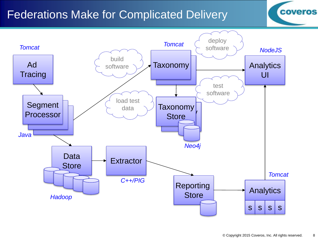#### Federations Make for Complicated Delivery



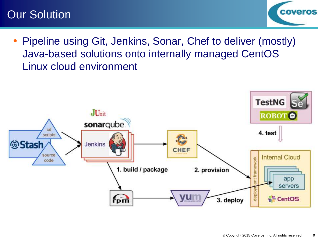#### Our Solution



 Pipeline using Git, Jenkins, Sonar, Chef to deliver (mostly) Java-based solutions onto internally managed CentOS Linux cloud environment

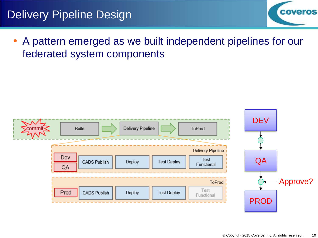#### Delivery Pipeline Design



 A pattern emerged as we built independent pipelines for our federated system components

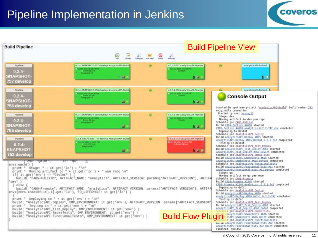#### Pipeline Implementation in Jenkins



| <b>Build Pipeline</b>                                                                                                                                                                                                                                                                                                                     | ଛ<br>$\overline{\phantom{a}}$                                                                                                                                                                                                                                                                                                                                                                                                                                                                                                                     | <b>Build Pipeline View</b>                                       |                                                                                                                                                           |                                                                                                                                                                                                                                                                                                                                                                                                                                                                                                                                                                                                                                                                                                                                                                                                                                                                                  |  |
|-------------------------------------------------------------------------------------------------------------------------------------------------------------------------------------------------------------------------------------------------------------------------------------------------------------------------------------------|---------------------------------------------------------------------------------------------------------------------------------------------------------------------------------------------------------------------------------------------------------------------------------------------------------------------------------------------------------------------------------------------------------------------------------------------------------------------------------------------------------------------------------------------------|------------------------------------------------------------------|-----------------------------------------------------------------------------------------------------------------------------------------------------------|----------------------------------------------------------------------------------------------------------------------------------------------------------------------------------------------------------------------------------------------------------------------------------------------------------------------------------------------------------------------------------------------------------------------------------------------------------------------------------------------------------------------------------------------------------------------------------------------------------------------------------------------------------------------------------------------------------------------------------------------------------------------------------------------------------------------------------------------------------------------------------|--|
| Pipeline<br>$0.2.4 -$<br><b>SNAPSHOT</b><br>757 develop                                                                                                                                                                                                                                                                                   | 0.2.4-SNAPSHOT-757 develop AnalyticsAPI-Build<br>$-$ Cut 15, 2014 x 55 54 FM<br>1 David 20 ave<br><b>Energiate KILS</b><br><b>Build</b>                                                                                                                                                                                                                                                                                                                                                                                                           | Q<br>$\mathbb{Z}$<br>$\equiv$<br>Add Targi<br><b>EXHIBI</b><br>÷ | z.<br>Manager<br>v 0.1.4-757 AnalyticsAPI-Pipeline<br>100 11 2211 7:52:00 PM<br>$+11 - 11$<br>$\bullet$                                                   | AnalyticsAPI-ToProd<br>80                                                                                                                                                                                                                                                                                                                                                                                                                                                                                                                                                                                                                                                                                                                                                                                                                                                        |  |
| Pipeline<br>$0.2.4 -$<br><b>SNAPSHOT-</b><br>756 develop                                                                                                                                                                                                                                                                                  | D.2.4-SNAPSHOT-755 develop AnalyticsAPL-Build<br><b>Car U. 2914 Columnia</b><br>a train 53 per<br><b>Templaren 14</b><br>$\mathbf{G}$                                                                                                                                                                                                                                                                                                                                                                                                             |                                                                  | v 0.1.4.755 AnalyticsAPt-Pipeline<br><b>Dealer State and Market</b><br>$= 15$ min<br>0.01                                                                 | AnalyticaAPLToProd<br><b>Console Output</b><br>Started by upstream project "AnalyticsAPI-Build" build number 742<br>originally caused by:<br>Started by user scsongll                                                                                                                                                                                                                                                                                                                                                                                                                                                                                                                                                                                                                                                                                                            |  |
| Pipeline<br>$0.2.4 -$<br><b>SNAPSHOT</b><br>755 develop<br><b><i>Pinsbra</i></b>                                                                                                                                                                                                                                                          | 0.2.4-SNAPSHOT-755 develop AnalyticsAPI-Build<br><b>EXPERIENCE</b><br><b>C. Temporania</b><br>$\omega$<br>0.2.4-SNAPSHOT-733 develop AnalyticsAPI-Elsild                                                                                                                                                                                                                                                                                                                                                                                          | ٠                                                                | v 0.2.4-755 AnalyticsAPI-Pipeline<br>100113-2014 6-11-59-00<br><b><i><u>and Breath</u></i></b><br>$\bullet$ $\bullet$<br>U 6.2.4-755 AnalyticsAPLPipetins | Stage: dev<br>Moving artifact to dev yum repo<br>Schedule job CADS-Publish<br>Build CADS-Publish #4080 started<br>CADS-Publish #4080 analytics 0.2.2-742 dev completed<br>Deploying to DevInt<br>Schedule job AnalyticsAPI-Deploy<br>Build AnalyticsAPI-Deploy #885 started<br>AnalyticsAPI-Deploy #885 DevInt 0.2.2-742 completed                                                                                                                                                                                                                                                                                                                                                                                                                                                                                                                                               |  |
| $0.2.4 -$<br><b>SNAPSHOT-</b><br>753 develop<br>"Qaint".<br>envs:each()                                                                                                                                                                                                                                                                   | 100135-2014 1-5 KW30 PM<br>13 vote 56 cms<br><b>Reagangement</b><br>G.                                                                                                                                                                                                                                                                                                                                                                                                                                                                            |                                                                  | -01231-0014 012219-09<br>0.010                                                                                                                            | Testing in DevInt<br>Schedule job AnalyticsAPI Test Deploy<br>Build AnalyticsAPI Test Deploy #867 started<br>AnalyticsAPI Test Deploy #867 DevInt completed<br>Schedule job AnalyticsAPI-SmokeTests<br>Build AnalyticsAPI-SmokeTests #615 started<br>AnalyticsAPI-SmokeTests #615 DevInt completed<br>Schedule job AnalyticsAPI-FunctionalTests                                                                                                                                                                                                                                                                                                                                                                                                                                                                                                                                  |  |
| print "<br>Stage: " + it.get('lc') + "\n"<br>print " Moving artifact to " + it.get('lc') + " yum repo 'un"<br>$1f(1t, get('env') == "Devint")$<br>"dev")<br>else<br>envs[envs.indexOf(it]-1].get('lc'), TO LIFECVCLE: it.get('lc') )<br>Deploying to " + it.get('env') + "\n"<br>print "<br>Testing in " + it get('env') + "\n"<br>print. | build( "CADS-Publish", ARTIFACT_NAME: "analytics", ARTIFACT_VERSION: params["ARTIFACT_VERSION"], ARTIF<br>build("CADS-Promote", ARTIFACT_NAME: "analytics", ARTIFACT_VERSION: params["ARTIFACT_VERSION"], ARTIFA<br>build( "AnalyticsAPI-Deploy", DMP_ENVIRONMENT: it.get('env'), ARTIFACT_VERSION: params["ARTIFACT_VERSION'<br>build( "AnalyticsAPI_Test_Deploy", DMP_ENVIRONMENT: it.get('env')<br>build( "AnalyticsAPI-SmokeTests", DMP ENVIRONMENT: 1t.get('env') )<br>build( "AnalyticsAPI-FunctionalTests", DMP ENVIRONMENT: it.get('env') |                                                                  | <b>Build Flow Plugin</b>                                                                                                                                  | Build AnalyticsAPI-FunctionalTests #91 started<br>AnalyticsAPI-FunctionalTests #91 DevInt completed<br>Stage: ga<br>Moving artifact to ga yum repo<br>Schedule job CADS-Promote<br>Build CADS-Promote #1548 started<br>CADS-Promote #1548 analytics 0.2.2-742 completed<br>Deploying to QaInt<br>Schedule job AnalyticsAPI-Deploy<br>Build AnalyticsAPI-Deploy #886 started<br>AnalyticsAPI-Deploy #886 DaInt 0.2.2-742 completed<br>Testing in OaInt<br>Schedule job AnalyticsAPI Test Deploy<br>Build AnalyticsAPI Test Deploy #868 started<br>AnalyticsAPI Test Deploy #868 OaInt completed<br>e job AnalyticsAPI-SmokeTests<br>nalyticsAPI-SmokeTests #616 started<br>CSAPI-SmokeTests #616 0aInt completed<br>e job AnalyticsAPI-FunctionalTests<br>Build AnalyticsAPI-FunctionalTests #92 started<br>AnalyticsAPI-FunctionalTests #92 OaInt completed<br>Finished: SUCCESS |  |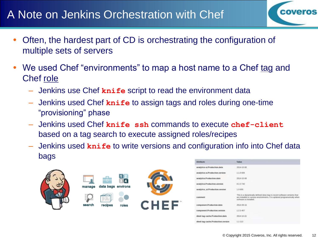#### A Note on Jenkins Orchestration with Chef



- We used Chef "environments" to map a host name to a Chef tag and Chef role
	- Jenkins use Chef **knife** script to read the environment data
	- Jenkins used Chef **knife** to assign tags and roles during one-time "provisioning" phase
	- Jenkins used Chef **knife ssh** commands to execute **chef-client** based on a tag search to execute assigned roles/recipes
	- Jenkins used **knife** to write versions and configuration info into Chef data bags







| <b>Attribute:</b>                                                           | <b>Value</b>                                                                                                                                                                     |
|-----------------------------------------------------------------------------|----------------------------------------------------------------------------------------------------------------------------------------------------------------------------------|
| analytics-id.Production.date                                                | 3114-10-00                                                                                                                                                                       |
| nalytics-ui.Production.version-                                             | 11.0426                                                                                                                                                                          |
| analytics.Production.date                                                   | 2014-10-08                                                                                                                                                                       |
| analytics Production version                                                | 0.3.3-742                                                                                                                                                                        |
| enalytics ut/hoduction.yarsign                                              | 1.0405                                                                                                                                                                           |
| <b>COMMUNITY</b>                                                            | This is a dynamically defined data trag to record software versions that<br>are initiated in various enuronments. If is updated programatically when<br>sufficient in installed. |
| component.Production.date                                                   | $205.6$ 0% 1%                                                                                                                                                                    |
| component.Production.version                                                | 123407                                                                                                                                                                           |
| dired-bag-cache.Production.date                                             | 2064-10-15                                                                                                                                                                       |
| Chairman and Company and Company and<br>itred-tag-cache.Production.version. | 11111                                                                                                                                                                            |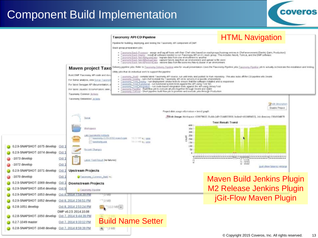#### Component Build Implementation



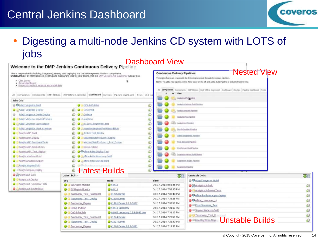#### Central Jenkins Dashboard



 Digesting a multi-node Jenkins CD system with LOTS of jobs Dochhoord View

| Welcome to the DMP Jenkins Continuous Delivery Pipeline                                                                                                                                                                                                                                                                              |                                                                              |                                                                                                              | Dashooaru view<br><b>Continuous Delivery Pipelines</b> | <b>Nested View</b>                                                                                                                                                                                         |               |
|--------------------------------------------------------------------------------------------------------------------------------------------------------------------------------------------------------------------------------------------------------------------------------------------------------------------------------------|------------------------------------------------------------------------------|--------------------------------------------------------------------------------------------------------------|--------------------------------------------------------|------------------------------------------------------------------------------------------------------------------------------------------------------------------------------------------------------------|---------------|
| This is imponsible for building, integrating, testing, and deploying the Data Management Platform components.<br>GUIDELINES: For information on creating and maintaining jobs for your teams, west the provincing to customings Google doc.<br>. Chel Servan<br>· Social dashkoard<br>· Preduction Artifact versions and mailed date |                                                                              |                                                                                                              |                                                        | These jab chains are responsible for delivering new code through the sanisus pipelines.<br>NOTE: To add a new pipeline, select "tiew View" on the left and add a thaid Pipeline or Delivery Pipeline vans. |               |
|                                                                                                                                                                                                                                                                                                                                      |                                                                              | All COP peines Components DMP Metrics DMP Office Segmenter DAShD04Fd DevOps Pipeline Dashboard Tests v0.1Ear | View                                                   | All [CDP(pelines.) Components   DMF Motives   DAP Office Segmentar   Dasfitcard   DevOps   Pipieline Dasfitcard   Titata                                                                                   |               |
| Jobs Grid                                                                                                                                                                                                                                                                                                                            |                                                                              |                                                                                                              |                                                        | AUGUST DOUGH                                                                                                                                                                                               |               |
| @ Casdao Evingestor-fruid                                                                                                                                                                                                                                                                                                            | <b>O</b> CIES AUDIENCE                                                       |                                                                                                              | D                                                      | Arabisattezone Zurüffantine                                                                                                                                                                                |               |
| Adrie Evingestor Deploy                                                                                                                                                                                                                                                                                                              | <b>Q O GrCommit</b>                                                          |                                                                                                              | 疣                                                      | Analyticampath Payment                                                                                                                                                                                     |               |
| Athen Futragenced Development                                                                                                                                                                                                                                                                                                        | <b>Q. Grateria</b><br>Adve I Vingestor Devint Prompte<br><b>Q</b> distanting |                                                                                                              | ଈ                                                      |                                                                                                                                                                                                            |               |
|                                                                                                                                                                                                                                                                                                                                      |                                                                              |                                                                                                              | 回                                                      | Analytica PSG-Payment                                                                                                                                                                                      |               |
| C. Adapt Vingerini Qani Depky<br>Q) C Cut_Sanc_September test<br><b>AdapTymgestor Stack Promisen</b><br>2 Japontschephenkorpherand Nurd<br><b>Q</b> Jerken Test Dealer<br>ArabticaAPI Csald<br>C C Machinestatul Hoducers Cepley<br>Anatomer Depicy                                                                                  |                                                                              |                                                                                                              | ø                                                      | AnalyticsUA Psychold                                                                                                                                                                                       |               |
|                                                                                                                                                                                                                                                                                                                                      |                                                                              |                                                                                                              | ඬ                                                      | Dan Behedules Pisminer                                                                                                                                                                                     |               |
|                                                                                                                                                                                                                                                                                                                                      |                                                                              |                                                                                                              | 疣                                                      |                                                                                                                                                                                                            |               |
|                                                                                                                                                                                                                                                                                                                                      |                                                                              |                                                                                                              | 逾                                                      | <b>Thre Segneras Papine</b>                                                                                                                                                                                |               |
| AnalyticsAPI FunctionalTicita                                                                                                                                                                                                                                                                                                        | MochmeStatisProducers Test Doploy                                            |                                                                                                              | Ю                                                      | Plack-StreamerPareline                                                                                                                                                                                     |               |
| P Analytics API-Smoke Texits                                                                                                                                                                                                                                                                                                         | Ditemporal Publish<br>۰                                                      |                                                                                                              | ø                                                      | Pendlistons, BuildEgebor.                                                                                                                                                                                  |               |
| Big Anatytics API: Test, OldsBoy                                                                                                                                                                                                                                                                                                     | O Chatter Habla Digitor Test                                                 |                                                                                                              | 田                                                      |                                                                                                                                                                                                            |               |
| C (@ Anathocahadoco - Build                                                                                                                                                                                                                                                                                                          | Clichen Aetie Inscript Inch                                                  |                                                                                                              | ۵                                                      | <b>Segmentsdesser, BuildFilehoe</b>                                                                                                                                                                        |               |
| C Created Contable Center                                                                                                                                                                                                                                                                                                            | <b>Q3</b> Q significe kette utrieg build                                     |                                                                                                              | 鹵                                                      | Segmester, Hughs Pateline                                                                                                                                                                                  |               |
| <b>C &amp; Analytical reports</b> Duild                                                                                                                                                                                                                                                                                              | <b>O</b> Collect kettle wrapper build                                        |                                                                                                              | 砲<br>Segmentel/Speltra                                 |                                                                                                                                                                                                            |               |
| <sup>3</sup> P-Matyticsmipata C-tiploy                                                                                                                                                                                                                                                                                               | Latest Builds<br>Ø.                                                          |                                                                                                              |                                                        |                                                                                                                                                                                                            |               |
| <b>BSACHOOLED.AD</b>                                                                                                                                                                                                                                                                                                                 | Latest builds                                                                |                                                                                                              | 不好                                                     | <b>Unstable Jobs</b>                                                                                                                                                                                       | 4900          |
| <b>O</b> & America A.R.Depkar                                                                                                                                                                                                                                                                                                        | Job                                                                          | <b>Build</b>                                                                                                 | Time                                                   | AdapTyIngestor-Build                                                                                                                                                                                       |               |
| C 12 Anabhost # Functional Tests                                                                                                                                                                                                                                                                                                     | ELSAgent-Monitor                                                             | Q44415                                                                                                       | Oct 17, 2014 8:53:45 PM                                | C CAnalyticsUI-Build                                                                                                                                                                                       | ଛ             |
| C Columbia st.8-Simoke Tests                                                                                                                                                                                                                                                                                                         | ELSAgent-Monitor<br>0                                                        | 0#4414                                                                                                       | Oct 17, 2014 7:53:45 PM                                | AnalyticsUI-SmokeTests                                                                                                                                                                                     | ଛ             |
|                                                                                                                                                                                                                                                                                                                                      | Taxonomy Test Functional                                                     | $#1275$ Devint                                                                                               | Oct 17, 2014 7:38:43 PM                                | Coffine-kettle-wrapper-deploy                                                                                                                                                                              | (Q            |
|                                                                                                                                                                                                                                                                                                                                      | Taxonomy Test Deploy                                                         | $-41538$ Devint                                                                                              | Oct 17, 2014 7:38:28 PM                                | Coffine consumer ui                                                                                                                                                                                        | $\mathcal{D}$ |
|                                                                                                                                                                                                                                                                                                                                      | Taxonomy Deploy                                                              | #1461 Devint 0.2.9-1092                                                                                      | Oct 17, 2014 7:32:58 PM                                | <b>C</b> Ill Pixel-Streamer Test                                                                                                                                                                           | ଛ             |
|                                                                                                                                                                                                                                                                                                                                      | Nexus-Publish                                                                | $-u4413 taxonomy$                                                                                            | Oct 17, 2014 7:31:13 PM                                | Segmentindexer-Build                                                                                                                                                                                       | ଢ             |
|                                                                                                                                                                                                                                                                                                                                      | CADS-Publish                                                                 | #4465 taxonomy 0.2.9-1092 dev                                                                                | Oct 17, 2014 7:31:13 PM                                | <b>C Taxonomy Test Functional</b>                                                                                                                                                                          | ଛ             |
|                                                                                                                                                                                                                                                                                                                                      | Taxonomy Test Functional                                                     | $#1274$ Devint                                                                                               | Oct 17, 2014 7:26:58 PM                                | <b>O</b> MUserKeyStore-Dep                                                                                                                                                                                 |               |
|                                                                                                                                                                                                                                                                                                                                      | Taxonomy Test Deploy                                                         | $-41537$ Devint                                                                                              | Oct 17, 2014 7:26:43 PM                                | Unstable Builds                                                                                                                                                                                            | ⊛             |
|                                                                                                                                                                                                                                                                                                                                      | Taxonomy Deploy                                                              | #1460 Devint 0.2.9-1091                                                                                      | Oct 17, 2014 7:19:38 PM                                |                                                                                                                                                                                                            |               |

#### © Copyright 2015 Coveros, Inc. All rights reserved. 14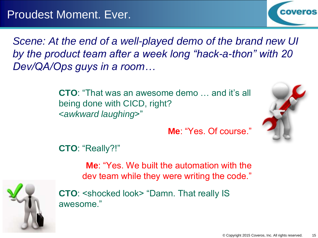

*Scene: At the end of a well-played demo of the brand new UI by the product team after a week long "hack-a-thon" with 20 Dev/QA/Ops guys in a room…*

> **CTO**: "That was an awesome demo … and it's all being done with CICD, right? <*awkward laughing*>"



**Me**: "Yes. Of course."

**CTO**: "Really?!"

**Me**: "Yes. We built the automation with the dev team while they were writing the code."



**CTO**: <shocked look> "Damn. That really IS awesome."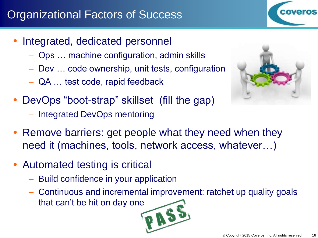### Organizational Factors of Success

- Integrated, dedicated personnel
	- Ops … machine configuration, admin skills
	- Dev … code ownership, unit tests, configuration
	- QA … test code, rapid feedback
- DevOps "boot-strap" skillset (fill the gap) – Integrated DevOps mentoring
- Remove barriers: get people what they need when they need it (machines, tools, network access, whatever…)
- Automated testing is critical
	- Build confidence in your application
	- Continuous and incremental improvement: ratchet up quality goals that can't be hit on day one





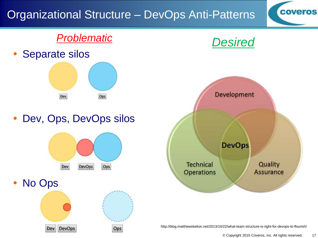### Organizational Structure – DevOps Anti-Patterns

#### *Problematic*

Separate silos



Dev, Ops, DevOps silos



No Ops



Ops



*Desired*

**coveros** 

http://blog.matthewskelton.net/2013/10/22/what-team-structure-is-right-for-devops-to-flourish/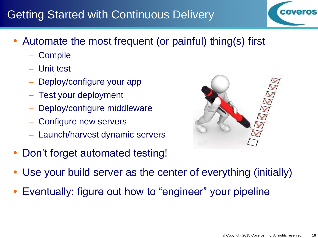#### Getting Started with Continuous Delivery

- Automate the most frequent (or painful) thing(s) first
	- **Compile**
	- Unit test
	- Deploy/configure your app
	- Test your deployment
	- Deploy/configure middleware
	- Configure new servers
	- Launch/harvest dynamic servers
- Don't forget automated testing!



- Use your build server as the center of everything (initially)
- Eventually: figure out how to "engineer" your pipeline